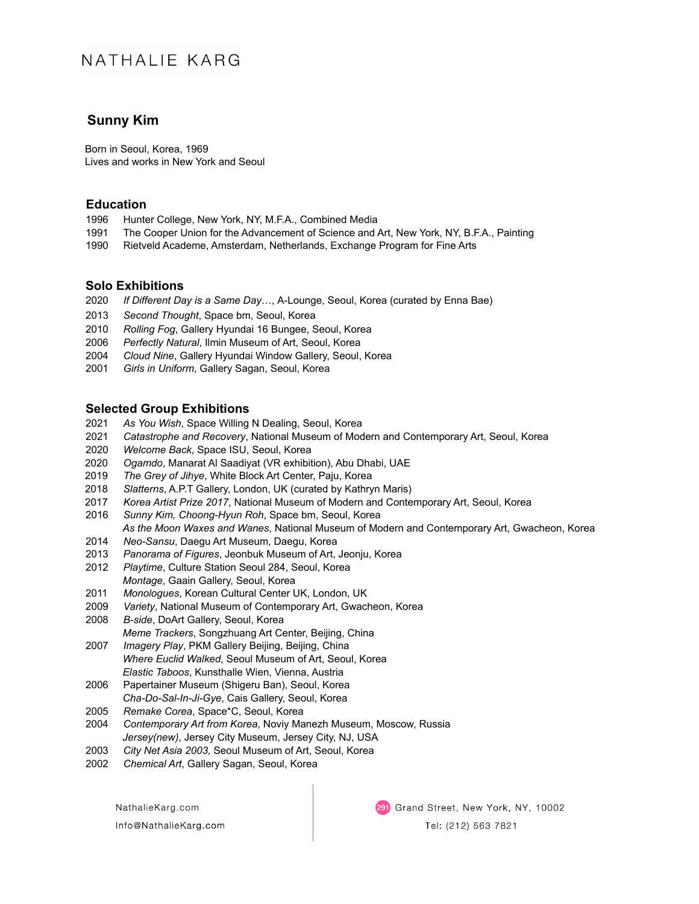# NATHALIF KARG

# **Sunny Kim**

 Born in Seoul, Korea, 1969 Lives and works in New York and Seoul

## **Education**

- 1996 Hunter College, New York, NY, M.F.A., Combined Media
- 1991 The Cooper Union for the Advancement of Science and Art, New York, NY, B.F.A., Painting
- 1990 Rietveld Academe, Amsterdam, Netherlands, Exchange Program for Fine Arts

## **Solo Exhibitions**

- 2020 *If Different Day is a Same Day*…, A-Lounge, Seoul, Korea (curated by Enna Bae)
- 2013 *Second Thought*, Space bm, Seoul, Korea
- 2010 *Rolling Fog*, Gallery Hyundai 16 Bungee, Seoul, Korea
- 2006*Perfectly Natural*, Ilmin Museum of Art, Seoul, Korea
- 2004*Cloud Nine*, Gallery Hyundai Window Gallery, Seoul, Korea
- 2001 *Girls in Uniform*, Gallery Sagan, Seoul, Korea

# **Selected Group Exhibitions**

- 2021 *As You Wish*, Space Willing N Dealing, Seoul, Korea
- 2021 *Catastrophe and Recovery*, National Museum of Modern and Contemporary Art, Seoul, Korea
- 2020 *Welcome Back*, Space ISU, Seoul, Korea
- 2020 *Ogamdo*, Manarat Al Saadiyat (VR exhibition), Abu Dhabi, UAE
- 2019 *The Grey of Jihye*, White Block Art Center, Paju, Korea
- 2018 *Slatterns*, A.P.T Gallery, London, UK (curated by Kathryn Maris)
- 2017 *Korea Artist Prize 2017*, National Museum of Modern and Contemporary Art, Seoul, Korea
- 2016 *Sunny Kim, Choong-Hyun Roh*, Space bm, Seoul, Korea *As the Moon Waxes and Wanes*, National Museum of Modern and Contemporary Art, Gwacheon, Korea
- 2014 *Neo-Sansu*, Daegu Art Museum, Daegu, Korea
- 2013 *Panorama of Figures*, Jeonbuk Museum of Art, Jeonju, Korea
- 2012 *Playtime*, Culture Station Seoul 284, Seoul, Korea *Montage*, Gaain Gallery, Seoul, Korea
- 2011 *Monologues*, Korean Cultural Center UK, London, UK
- 2009 *Variety*, National Museum of Contemporary Art, Gwacheon, Korea
- 2008 *B-side*, DoArt Gallery, Seoul, Korea *Meme Trackers*, Songzhuang Art Center, Beijing, China
- 2007 *Imagery Play*, PKM Gallery Beijing, Beijing, China *Where Euclid Walked*, Seoul Museum of Art, Seoul, Korea *Elastic Taboos*, Kunsthalle Wien, Vienna, Austria
- 2006Papertainer Museum (Shigeru Ban), Seoul, Korea *Cha-Do-Sal-In-Ji-Gye*, Cais Gallery, Seoul, Korea
- 2005*Remake Corea*, Space\*C, Seoul, Korea
- 2004*Contemporary Art from Korea*, Noviy Manezh Museum, Moscow, Russia *Jersey(new)*, Jersey City Museum, Jersey City, NJ, USA
- 2003*City Net Asia 2003,* Seoul Museum of Art, Seoul, Korea
- 2002*Chemical Art*, Gallery Sagan, Seoul, Korea

NathalieKarg.com Info@NathalieKarg.com 291 Grand Street, New York, NY, 10002 Tel: (212) 563 7821